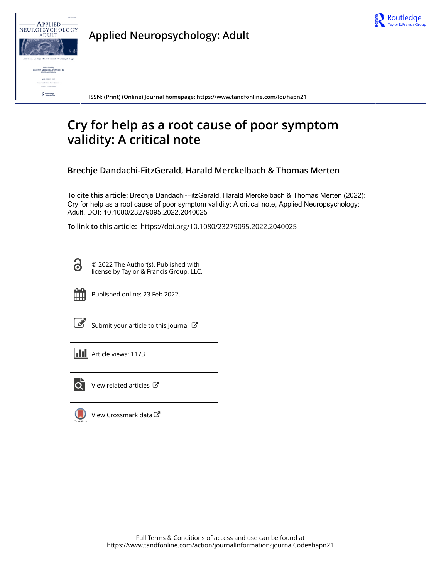



**Applied Neuropsychology: Adult**

**ISSN: (Print) (Online) Journal homepage:<https://www.tandfonline.com/loi/hapn21>**

# **Cry for help as a root cause of poor symptom validity: A critical note**

**Brechje Dandachi-FitzGerald, Harald Merckelbach & Thomas Merten**

**To cite this article:** Brechje Dandachi-FitzGerald, Harald Merckelbach & Thomas Merten (2022): Cry for help as a root cause of poor symptom validity: A critical note, Applied Neuropsychology: Adult, DOI: [10.1080/23279095.2022.2040025](https://www.tandfonline.com/action/showCitFormats?doi=10.1080/23279095.2022.2040025)

**To link to this article:** <https://doi.org/10.1080/23279095.2022.2040025>

Ō

© 2022 The Author(s). Published with license by Taylor & Francis Group, LLC.



Published online: 23 Feb 2022.

[Submit your article to this journal](https://www.tandfonline.com/action/authorSubmission?journalCode=hapn21&show=instructions)  $\mathbb{Z}$ 

**Article views: 1173** 



 $\overline{Q}$  [View related articles](https://www.tandfonline.com/doi/mlt/10.1080/23279095.2022.2040025)  $\overline{C}$ 

 $\bigcup$ [View Crossmark data](http://crossmark.crossref.org/dialog/?doi=10.1080/23279095.2022.2040025&domain=pdf&date_stamp=2022-02-23)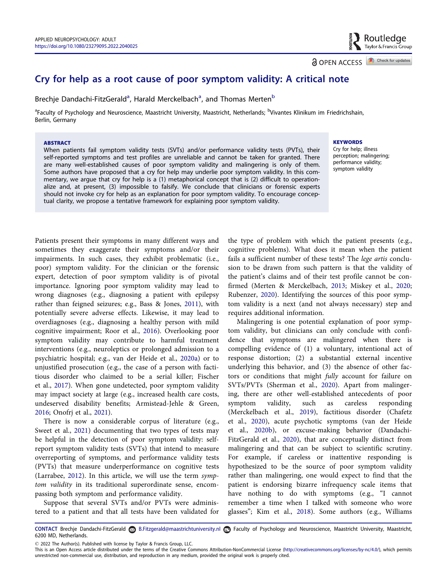<span id="page-1-0"></span>Cry for help as a root cause of poor symptom validity: A critical note

Brechje Dandachi-FitzGerald<sup>a</sup>, Harald Merckelbach<sup>a</sup>, and Thomas Merten<sup>b</sup>

<sup>a</sup>Faculty of Psychology and Neuroscience, Maastricht University, Maastricht, Netherlands; <sup>b</sup>Vivantes Klinikum im Friedrichshain, Berlin, Germany

#### ABSTRACT

When patients fail symptom validity tests (SVTs) and/or performance validity tests (PVTs), their self-reported symptoms and test profiles are unreliable and cannot be taken for granted. There are many well-established causes of poor symptom validity and malingering is only of them. Some authors have proposed that a cry for help may underlie poor symptom validity. In this commentary, we argue that cry for help is a (1) metaphorical concept that is (2) difficult to operationalize and, at present, (3) impossible to falsify. We conclude that clinicians or forensic experts should not invoke cry for help as an explanation for poor symptom validity. To encourage conceptual clarity, we propose a tentative framework for explaining poor symptom validity.

Patients present their symptoms in many different ways and sometimes they exaggerate their symptoms and/or their impairments. In such cases, they exhibit problematic (i.e., poor) symptom validity. For the clinician or the forensic expert, detection of poor symptom validity is of pivotal importance. Ignoring poor symptom validity may lead to wrong diagnoses (e.g., diagnosing a patient with epilepsy rather than feigned seizures; e.g., Bass & Jones, [2011\)](#page-5-0), with potentially severe adverse effects. Likewise, it may lead to overdiagnoses (e.g., diagnosing a healthy person with mild cognitive impairment; Roor et al., [2016](#page-6-0)). Overlooking poor symptom validity may contribute to harmful treatment interventions (e.g., neuroleptics or prolonged admission to a psychiatric hospital; e.g., van der Heide et al., [2020a\)](#page-6-0) or to unjustified prosecution (e.g., the case of a person with factitious disorder who claimed to be a serial killer; Fischer et al., [2017](#page-5-0)). When gone undetected, poor symptom validity may impact society at large (e.g., increased health care costs, undeserved disability benefits; Armistead-Jehle & Green, [2016](#page-5-0); Onofrj et al., [2021\)](#page-6-0).

There is now a considerable corpus of literature (e.g., Sweet et al., [2021\)](#page-6-0) documenting that two types of tests may be helpful in the detection of poor symptom validity: selfreport symptom validity tests (SVTs) that intend to measure overreporting of symptoms, and performance validity tests (PVTs) that measure underperformance on cognitive tests (Larrabee, [2012](#page-5-0)). In this article, we will use the term symptom validity in its traditional superordinate sense, encompassing both symptom and performance validity.

Suppose that several SVTs and/or PVTs were administered to a patient and that all tests have been validated for the type of problem with which the patient presents (e.g., cognitive problems). What does it mean when the patient fails a sufficient number of these tests? The lege artis conclusion to be drawn from such pattern is that the validity of the patient's claims and of their test profile cannot be confirmed (Merten & Merckelbach, [2013](#page-5-0); Miskey et al., [2020;](#page-6-0) Rubenzer, [2020](#page-6-0)). Identifying the sources of this poor symptom validity is a next (and not always necessary) step and requires additional information.

Malingering is one potential explanation of poor symptom validity, but clinicians can only conclude with confidence that symptoms are malingered when there is compelling evidence of (1) a voluntary, intentional act of response distortion; (2) a substantial external incentive underlying this behavior, and (3) the absence of other factors or conditions that might fully account for failure on SVTs/PVTs (Sherman et al., [2020\)](#page-6-0). Apart from malingering, there are other well-established antecedents of poor symptom validity, such as careless responding (Merckelbach et al., [2019](#page-5-0)), factitious disorder (Chafetz et al., [2020](#page-5-0)), acute psychotic symptoms (van der Heide et al., [2020b\)](#page-6-0), or excuse-making behavior (Dandachi-FitzGerald et al., [2020](#page-5-0)), that are conceptually distinct from malingering and that can be subject to scientific scrutiny. For example, if careless or inattentive responding is hypothesized to be the source of poor symptom validity rather than malingering, one would expect to find that the patient is endorsing bizarre infrequency scale items that have nothing to do with symptoms (e.g., "I cannot remember a time when I talked with someone who wore glasses"; Kim et al., [2018](#page-5-0)). Some authors (e.g., Williams

CONTACT Brechje Dandachi-FitzGerald B.Fitzgerald@maastrichtuniversity.nl Faculty of Psychology and Neuroscience, Maastricht University, Maastricht, 6200 MD, Netherlands.

2022 The Author(s). Published with license by Taylor & Francis Group, LLC.

#### **KEYWORDS**

Cry for help; illness perception; malingering; performance validity; symptom validity

**a** OPEN ACCESS **a** Check for updates

This is an Open Access article distributed under the terms of the Creative Commons Attribution-NonCommercial License [\(http://creativecommons.org/licenses/by-nc/4.0/\)](http://creativecommons.org/licenses/by-nc/4.0/), which permits unrestricted non-commercial use, distribution, and reproduction in any medium, provided the original work is properly cited.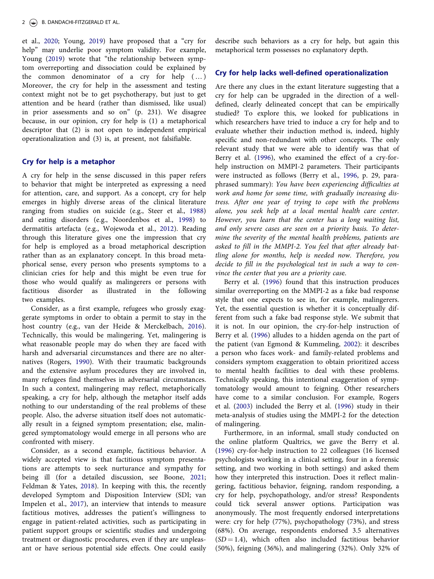<span id="page-2-0"></span>et al., [2020](#page-6-0); Young, [2019\)](#page-6-0) have proposed that a "cry for help" may underlie poor symptom validity. For example, Young ([2019](#page-6-0)) wrote that "the relationship between symptom overreporting and dissociation could be explained by the common denominator of a cry for help  $(...)$ Moreover, the cry for help in the assessment and testing context might not be to get psychotherapy, but just to get attention and be heard (rather than dismissed, like usual) in prior assessments and so on" (p. 231). We disagree because, in our opinion, cry for help is (1) a metaphorical descriptor that (2) is not open to independent empirical operationalization and (3) is, at present, not falsifiable.

#### Cry for help is a metaphor

A cry for help in the sense discussed in this paper refers to behavior that might be interpreted as expressing a need for attention, care, and support. As a concept, cry for help emerges in highly diverse areas of the clinical literature ranging from studies on suicide (e.g., Steer et al., [1988\)](#page-6-0) and eating disorders (e.g., Noordenbos et al., [1998](#page-6-0)) to dermatitis artefacta (e.g., Wojewoda et al., [2012](#page-6-0)). Reading through this literature gives one the impression that cry for help is employed as a broad metaphorical description rather than as an explanatory concept. In this broad metaphorical sense, every person who presents symptoms to a clinician cries for help and this might be even true for those who would qualify as malingerers or persons with factitious disorder as illustrated in the following two examples.

Consider, as a first example, refugees who grossly exaggerate symptoms in order to obtain a permit to stay in the host country (e.g., van der Heide & Merckelbach, [2016](#page-6-0)). Technically, this would be malingering. Yet, malingering is what reasonable people may do when they are faced with harsh and adversarial circumstances and there are no alternatives (Rogers, [1990\)](#page-6-0). With their traumatic backgrounds and the extensive asylum procedures they are involved in, many refugees find themselves in adversarial circumstances. In such a context, malingering may reflect, metaphorically speaking, a cry for help, although the metaphor itself adds nothing to our understanding of the real problems of these people. Also, the adverse situation itself does not automatically result in a feigned symptom presentation; else, malingered symptomatology would emerge in all persons who are confronted with misery.

Consider, as a second example, factitious behavior. A widely accepted view is that factitious symptom presentations are attempts to seek nurturance and sympathy for being ill (for a detailed discussion, see Boone, [2021;](#page-5-0) Feldman & Yates, [2018](#page-5-0)). In keeping with this, the recently developed Symptom and Disposition Interview (SDI; van Impelen et al., [2017\)](#page-6-0), an interview that intends to measure factitious motives, addresses the patient's willingness to engage in patient-related activities, such as participating in patient support groups or scientific studies and undergoing treatment or diagnostic procedures, even if they are unpleasant or have serious potential side effects. One could easily describe such behaviors as a cry for help, but again this metaphorical term possesses no explanatory depth.

## Cry for help lacks well-defined operationalization

Are there any clues in the extant literature suggesting that a cry for help can be upgraded in the direction of a welldefined, clearly delineated concept that can be empirically studied? To explore this, we looked for publications in which researchers have tried to induce a cry for help and to evaluate whether their induction method is, indeed, highly specific and non-redundant with other concepts. The only relevant study that we were able to identify was that of Berry et al. ([1996\)](#page-5-0), who examined the effect of a cry-forhelp instruction on MMPI-2 parameters. Their participants were instructed as follows (Berry et al., [1996,](#page-5-0) p. 29, paraphrased summary): You have been experiencing difficulties at work and home for some time, with gradually increasing distress. After one year of trying to cope with the problems alone, you seek help at a local mental health care center. However, you learn that the center has a long waiting list, and only severe cases are seen on a priority basis. To determine the severity of the mental health problems, patients are asked to fill in the MMPI-2. You feel that after already battling alone for months, help is needed now. Therefore, you decide to fill in the psychological test in such a way to convince the center that you are a priority case.

Berry et al. [\(1996](#page-5-0)) found that this instruction produces similar overreporting on the MMPI-2 as a fake bad response style that one expects to see in, for example, malingerers. Yet, the essential question is whether it is conceptually different from such a fake bad response style. We submit that it is not. In our opinion, the cry-for-help instruction of Berry et al. [\(1996](#page-5-0)) alludes to a hidden agenda on the part of the patient (van Egmond & Kummeling, [2002\)](#page-6-0): it describes a person who faces work- and family-related problems and considers symptom exaggeration to obtain prioritized access to mental health facilities to deal with these problems. Technically speaking, this intentional exaggeration of symptomatology would amount to feigning. Other researchers have come to a similar conclusion. For example, Rogers et al. [\(2003](#page-6-0)) included the Berry et al. ([1996\)](#page-5-0) study in their meta-analysis of studies using the MMPI-2 for the detection of malingering.

Furthermore, in an informal, small study conducted on the online platform Qualtrics, we gave the Berry et al. ([1996](#page-5-0)) cry-for-help instruction to 22 colleagues (16 licensed psychologists working in a clinical setting, four in a forensic setting, and two working in both settings) and asked them how they interpreted this instruction. Does it reflect malingering, factitious behavior, feigning, random responding, a cry for help, psychopathology, and/or stress? Respondents could tick several answer options. Participation was anonymously. The most frequently endorsed interpretations were: cry for help (77%), psychopathology (73%), and stress (68%). On average, respondents endorsed 3.5 alternatives  $(SD = 1.4)$ , which often also included factitious behavior (50%), feigning (36%), and malingering (32%). Only 32% of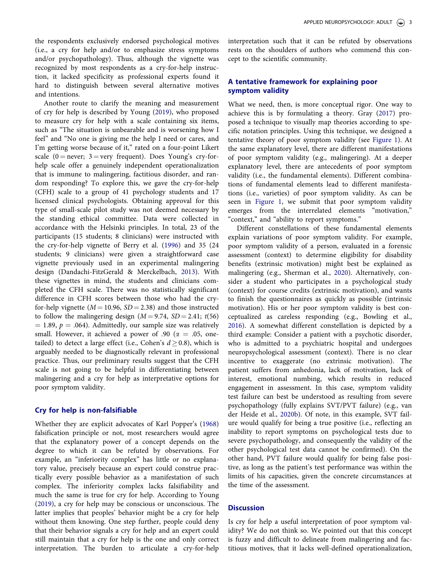<span id="page-3-0"></span>the respondents exclusively endorsed psychological motives (i.e., a cry for help and/or to emphasize stress symptoms and/or psychopathology). Thus, although the vignette was recognized by most respondents as a cry-for-help instruction, it lacked specificity as professional experts found it hard to distinguish between several alternative motives and intentions.

Another route to clarify the meaning and measurement of cry for help is described by Young [\(2019\)](#page-6-0), who proposed to measure cry for help with a scale containing six items, such as "The situation is unbearable and is worsening how I feel" and "No one is giving me the help I need or cares, and I'm getting worse because of it," rated on a four-point Likert scale (0 = never;  $3 =$  very frequent). Does Young's cry-forhelp scale offer a genuinely independent operationalization that is immune to malingering, factitious disorder, and random responding? To explore this, we gave the cry-for-help (CFH) scale to a group of 41 psychology students and 17 licensed clinical psychologists. Obtaining approval for this type of small-scale pilot study was not deemed necessary by the standing ethical committee. Data were collected in accordance with the Helsinki principles. In total, 23 of the participants (15 students; 8 clinicians) were instructed with the cry-for-help vignette of Berry et al. ([1996](#page-5-0)) and 35 (24 students; 9 clinicians) were given a straightforward case vignette previously used in an experimental malingering design (Dandachi-FitzGerald & Merckelbach, [2013](#page-5-0)). With these vignettes in mind, the students and clinicians completed the CFH scale. There was no statistically significant difference in CFH scores between those who had the cryfor-help vignette ( $M = 10.96$ ,  $SD = 2.38$ ) and those instructed to follow the malingering design  $(M = 9.74, SD = 2.41; t(56)$  $= 1.89, p = .064$ ). Admittedly, our sample size was relatively small. However, it achieved a power of .90 ( $\alpha = .05$ , onetailed) to detect a large effect (i.e., Cohen's  $d \ge 0.8$ ), which is arguably needed to be diagnostically relevant in professional practice. Thus, our preliminary results suggest that the CFH scale is not going to be helpful in differentiating between malingering and a cry for help as interpretative options for poor symptom validity.

## Cry for help is non-falsifiable

Whether they are explicit advocates of Karl Popper's ([1968](#page-6-0)) falsification principle or not, most researchers would agree that the explanatory power of a concept depends on the degree to which it can be refuted by observations. For example, an "inferiority complex" has little or no explanatory value, precisely because an expert could construe practically every possible behavior as a manifestation of such complex. The inferiority complex lacks falsifiability and much the same is true for cry for help. According to Young [\(2019\)](#page-6-0), a cry for help may be conscious or unconscious. The latter implies that peoples' behavior might be a cry for help without them knowing. One step further, people could deny that their behavior signals a cry for help and an expert could still maintain that a cry for help is the one and only correct interpretation. The burden to articulate a cry-for-help interpretation such that it can be refuted by observations rests on the shoulders of authors who commend this concept to the scientific community.

# A tentative framework for explaining poor symptom validity

What we need, then, is more conceptual rigor. One way to achieve this is by formulating a theory. Gray [\(2017\)](#page-5-0) proposed a technique to visually map theories according to specific notation principles. Using this technique, we designed a tentative theory of poor symptom validity (see [Figure 1](#page-4-0)). At the same explanatory level, there are different manifestations of poor symptom validity (e.g., malingering). At a deeper explanatory level, there are antecedents of poor symptom validity (i.e., the fundamental elements). Different combinations of fundamental elements lead to different manifestations (i.e., varieties) of poor symptom validity. As can be seen in [Figure 1,](#page-4-0) we submit that poor symptom validity emerges from the interrelated elements "motivation," "context," and "ability to report symptoms."

Different constellations of these fundamental elements explain variations of poor symptom validity. For example, poor symptom validity of a person, evaluated in a forensic assessment (context) to determine eligibility for disability benefits (extrinsic motivation) might best be explained as malingering (e.g., Sherman et al., [2020](#page-6-0)). Alternatively, consider a student who participates in a psychological study (context) for course credits (extrinsic motivation), and wants to finish the questionnaires as quickly as possible (intrinsic motivation). His or her poor symptom validity is best conceptualized as careless responding (e.g., Bowling et al., [2016](#page-5-0)). A somewhat different constellation is depicted by a third example: Consider a patient with a psychotic disorder, who is admitted to a psychiatric hospital and undergoes neuropsychological assessment (context). There is no clear incentive to exaggerate (no extrinsic motivation). The patient suffers from anhedonia, lack of motivation, lack of interest, emotional numbing, which results in reduced engagement in assessment. In this case, symptom validity test failure can best be understood as resulting from severe psychopathology (fully explains SVT/PVT failure) (e.g., van der Heide et al., [2020b\)](#page-6-0). Of note, in this example, SVT failure would qualify for being a true positive (i.e., reflecting an inability to report symptoms on psychological tests due to severe psychopathology, and consequently the validity of the other psychological test data cannot be confirmed). On the other hand, PVT failure would qualify for being false positive, as long as the patient's test performance was within the limits of his capacities, given the concrete circumstances at the time of the assessment.

## **Discussion**

Is cry for help a useful interpretation of poor symptom validity? We do not think so. We pointed out that this concept is fuzzy and difficult to delineate from malingering and factitious motives, that it lacks well-defined operationalization,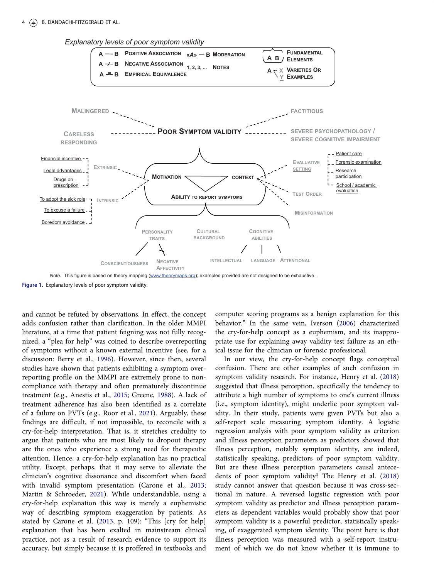#### <span id="page-4-0"></span>4 (S) B. DANDACHI-FITZGERALD ET AL.





Figure 1. Explanatory levels of poor symptom validity.

and cannot be refuted by observations. In effect, the concept adds confusion rather than clarification. In the older MMPI literature, at a time that patient feigning was not fully recognized, a "plea for help" was coined to describe overreporting of symptoms without a known external incentive (see, for a discussion: Berry et al., [1996\)](#page-5-0). However, since then, several studies have shown that patients exhibiting a symptom overreporting profile on the MMPI are extremely prone to noncompliance with therapy and often prematurely discontinue treatment (e.g., Anestis et al., [2015;](#page-5-0) Greene, [1988](#page-5-0)). A lack of treatment adherence has also been identified as a correlate of a failure on PVTs (e.g., Roor et al., [2021](#page-6-0)). Arguably, these findings are difficult, if not impossible, to reconcile with a cry-for-help interpretation. That is, it stretches credulity to argue that patients who are most likely to dropout therapy are the ones who experience a strong need for therapeutic attention. Hence, a cry-for-help explanation has no practical utility. Except, perhaps, that it may serve to alleviate the clinician's cognitive dissonance and discomfort when faced with invalid symptom presentation (Carone et al., [2013;](#page-5-0) Martin & Schroeder, [2021](#page-5-0)). While understandable, using a cry-for-help explanation this way is merely a euphemistic way of describing symptom exaggeration by patients. As stated by Carone et al. ([2013,](#page-5-0) p. 109): "This [cry for help] explanation that has been exalted in mainstream clinical practice, not as a result of research evidence to support its accuracy, but simply because it is proffered in textbooks and

computer scoring programs as a benign explanation for this behavior." In the same vein, Iverson [\(2006\)](#page-5-0) characterized the cry-for-help concept as a euphemism, and its inappropriate use for explaining away validity test failure as an ethical issue for the clinician or forensic professional.

In our view, the cry-for-help concept flags conceptual confusion. There are other examples of such confusion in symptom validity research. For instance, Henry et al. ([2018\)](#page-5-0) suggested that illness perception, specifically the tendency to attribute a high number of symptoms to one's current illness (i.e., symptom identity), might underlie poor symptom validity. In their study, patients were given PVTs but also a self-report scale measuring symptom identity. A logistic regression analysis with poor symptom validity as criterion and illness perception parameters as predictors showed that illness perception, notably symptom identity, are indeed, statistically speaking, predictors of poor symptom validity. But are these illness perception parameters causal antecedents of poor symptom validity? The Henry et al. ([2018\)](#page-5-0) study cannot answer that question because it was cross-sectional in nature. A reversed logistic regression with poor symptom validity as predictor and illness perception parameters as dependent variables would probably show that poor symptom validity is a powerful predictor, statistically speaking, of exaggerated symptom identity. The point here is that illness perception was measured with a self-report instrument of which we do not know whether it is immune to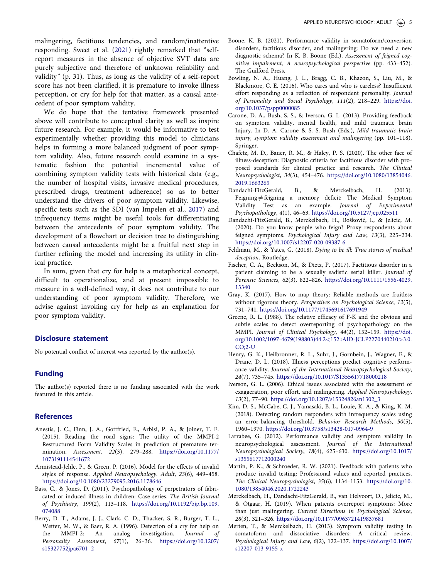<span id="page-5-0"></span>malingering, factitious tendencies, and random/inattentive responding. Sweet et al. ([2021](#page-6-0)) rightly remarked that "selfreport measures in the absence of objective SVT data are purely subjective and therefore of unknown reliability and validity" (p. 31). Thus, as long as the validity of a self-report score has not been clarified, it is premature to invoke illness perception, or cry for help for that matter, as a causal antecedent of poor symptom validity.

We do hope that the tentative framework presented above will contribute to conceptual clarity as well as inspire future research. For example, it would be informative to test experimentally whether providing this model to clinicians helps in forming a more balanced judgment of poor symptom validity. Also, future research could examine in a systematic fashion the potential incremental value of combining symptom validity tests with historical data (e.g., the number of hospital visits, invasive medical procedures, prescribed drugs, treatment adherence) so as to better understand the drivers of poor symptom validity. Likewise, specific tests such as the SDI (van Impelen et al., [2017](#page-6-0)) and infrequency items might be useful tools for differentiating between the antecedents of poor symptom validity. The development of a flowchart or decision tree to distinguishing between causal antecedents might be a fruitful next step in further refining the model and increasing its utility in clinical practice.

In sum, given that cry for help is a metaphorical concept, difficult to operationalize, and at present impossible to measure in a well-defined way, it does not contribute to our understanding of poor symptom validity. Therefore, we advise against invoking cry for help as an explanation for poor symptom validity.

### Disclosure statement

No potential conflict of interest was reported by the author(s).

# Funding

The author(s) reported there is no funding associated with the work featured in this article.

#### References

- Anestis, J. C., Finn, J. A., Gottfried, E., Arbisi, P. A., & Joiner, T. E. ([2015](#page-4-0)). Reading the road signs: The utility of the MMPI-2 Restructured Form Validity Scales in prediction of premature termination. Assessment, 22(3), 279–288. [https://doi.org/10.1177/](https://doi.org/10.1177/1073191114541672) [1073191114541672](https://doi.org/10.1177/1073191114541672)
- Armistead-Jehle, P., & Green, P. ([2016](#page-1-0)). Model for the effects of invalid styles of response. Applied Neuropsychology. Adult, 23(6), 449–458. <https://doi.org/10.1080/23279095.2016.1178646>
- Bass, C., & Jones, D. ([2011](#page-1-0)). Psychopathology of perpetrators of fabricated or induced illness in children: Case series. The British Journal of Psychiatry, 199(2), 113–118. [https://doi.org/10.1192/bjp.bp.109.](https://doi.org/10.1192/bjp.bp.109.074088) [074088](https://doi.org/10.1192/bjp.bp.109.074088)
- Berry, D. T., Adams, J. J., Clark, C. D., Thacker, S. R., Burger, T. L., Wetter, M. W., & Baer, R. A. [\(1996\)](#page-2-0). Detection of a cry for help on the MMPI-2: An analog investigation. *Journal* of An analog investigation. Journal of Personality Assessment, 67(1), 26–36. [https://doi.org/10.1207/](https://doi.org/10.1207/s15327752jpa6701_2) [s15327752jpa6701\\_2](https://doi.org/10.1207/s15327752jpa6701_2)
- Boone, K. B. [\(2021\)](#page-2-0). Performance validity in somatoform/conversion disorders, factitious disorder, and malingering: Do we need a new diagnostic schema? In K. B. Boone (Ed.), Assessment of feigned cognitive impairment, A neuropsychological perspective (pp. 433–452). The Guilford Press.
- Bowling, N. A., Huang, J. L., Bragg, C. B., Khazon, S., Liu, M., & Blackmore, C. E. ([2016](#page-3-0)). Who cares and who is careless? Insufficient effort responding as a reflection of respondent personality. Journal of Personality and Social Psychology, 111(2), 218–229. [https://doi.](https://doi.org/10.1037/pspp0000085) [org/10.1037/pspp0000085](https://doi.org/10.1037/pspp0000085)
- Carone, D. A., Bush, S. S., & Iverson, G. L. [\(2013\)](#page-4-0). Providing feedback on symptom validity, mental health, and mild traumatic brain Injury. In D. A. Carone & S. S. Bush (Eds.), Mild traumatic brain injury, symptom validity assessment and malingering (pp. 101–118). Springer.
- Chafetz, M. D., Bauer, R. M., & Haley, P. S. [\(2020\)](#page-1-0). The other face of illness-deception: Diagnostic criteria for factitious disorder with proposed standards for clinical practice and research. The Clinical Neuropsychologist, 34(3), 454–476. [https://doi.org/10.1080/13854046.](https://doi.org/10.1080/13854046.2019.1663265) [2019.1663265](https://doi.org/10.1080/13854046.2019.1663265)
- Dandachi-FitzGerald, B., & Merckelbach, H. ([2013\)](#page-3-0). Feigning  $\neq$  feigning a memory deficit: The Medical Symptom Validity Test as an example. Journal of Experimental Psychopathology, 4(1), 46–63. <https://doi.org/10.5127/jep.025511>
- Dandachi-FitzGerald, B., Merckelbach, H., Boskovic, I., & Jelicic, M. [\(2020](#page-1-0)). Do you know people who feign? Proxy respondents about feigned symptoms. Psychological Injury and Law, 13(3), 225–234. <https://doi.org/10.1007/s12207-020-09387-6>
- Feldman, M., & Yates, G. [\(2018](#page-2-0)). Dying to be ill: True stories of medical deception. Routledge.
- Fischer, C. A., Beckson, M., & Dietz, P. ([2017](#page-1-0)). Factitious disorder in a patient claiming to be a sexually sadistic serial killer. Journal of Forensic Sciences, 62(3), 822–826. [https://doi.org/10.1111/1556-4029.](https://doi.org/10.1111/1556-4029.13340) [13340](https://doi.org/10.1111/1556-4029.13340)
- Gray, K. [\(2017\)](#page-3-0). How to map theory: Reliable methods are fruitless without rigorous theory. Perspectives on Psychological Science, 12(5), 731–741. <https://doi.org/10.1177/1745691617691949>
- Greene, R. L. [\(1988\)](#page-4-0). The relative efficacy of F-K and the obvious and subtle scales to detect overreporting of psychopathology on the MMPI. Journal of Clinical Psychology, 44(2), 152–159. [https://doi.](https://doi.org/10.1002/1097-4679(198803)44:2152::AID-JCLP22704402103.0.CO;2-U) [org/10.1002/1097-4679\(198803\)44:2](https://doi.org/10.1002/1097-4679(198803)44:2152::AID-JCLP22704402103.0.CO;2-U)<152::AID-JCLP2270440210>3.0. [CO;2-U](https://doi.org/10.1002/1097-4679(198803)44:2152::AID-JCLP22704402103.0.CO;2-U)
- Henry, G. K., Heilbronner, R. L., Suhr, J., Gornbein, J., Wagner, E., & Drane, D. L. ([2018](#page-4-0)). Illness perceptions predict cognitive performance validity. Journal of the International Neuropsychological Society, 24(7), 735–745. <https://doi.org/10.1017/S1355617718000218>
- Iverson, G. L. [\(2006\)](#page-4-0). Ethical issues associated with the assessment of exaggeration, poor effort, and malingering. Applied Neuropsychology, 13(2), 77–90. [https://doi.org/10.1207/s15324826an1302\\_3](https://doi.org/10.1207/s15324826an1302_3)
- Kim, D. S., McCabe, C. J., Yamasaki, B. L., Louie, K. A., & King, K. M. [\(2018](#page-1-0)). Detecting random responders with infrequency scales using an error-balancing threshold. Behavior Research Methods, 50(5), 1960–1970. <https://doi.org/10.3758/s13428-017-0964-9>
- Larrabee, G. [\(2012](#page-1-0)). Performance validity and symptom validity in neuropsychological assessment. Journal of the International Neuropsychological Society, 18(4), 625–630. [https://doi.org/10.1017/](https://doi.org/10.1017/s1355617712000240) [s1355617712000240](https://doi.org/10.1017/s1355617712000240)
- Martin, P. K., & Schroeder, R. W. [\(2021\)](#page-4-0). Feedback with patients who produce invalid testing: Professional values and reported practices. The Clinical Neuropsychologist, 35(6), 1134–1153. [https://doi.org/10.](https://doi.org/10.1080/13854046.2020.1722243) [1080/13854046.2020.1722243](https://doi.org/10.1080/13854046.2020.1722243)
- Merckelbach, H., Dandachi-FitzGerald, B., van Helvoort, D., Jelicic, M., & Otgaar, H. ([2019](#page-1-0)). When patients overreport symptoms: More than just malingering. Current Directions in Psychological Science, 28(3), 321–326. <https://doi.org/10.1177/0963721419837681>
- Merten, T., & Merckelbach, H. [\(2013\)](#page-1-0). Symptom validity testing in somatoform and dissociative disorders: A critical review. Psychological Injury and Law, 6(2), 122–137. [https://doi.org/10.1007/](https://doi.org/10.1007/s12207-013-9155-x) [s12207-013-9155-x](https://doi.org/10.1007/s12207-013-9155-x)